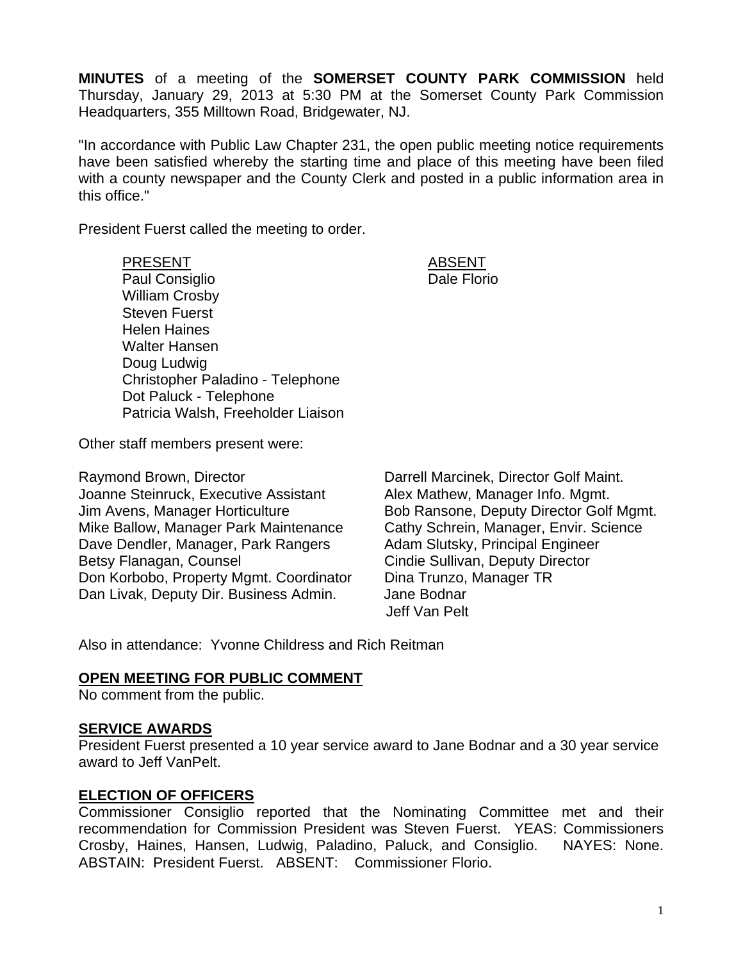**MINUTES** of a meeting of the **SOMERSET COUNTY PARK COMMISSION** held Thursday, January 29, 2013 at 5:30 PM at the Somerset County Park Commission Headquarters, 355 Milltown Road, Bridgewater, NJ.

"In accordance with Public Law Chapter 231, the open public meeting notice requirements have been satisfied whereby the starting time and place of this meeting have been filed with a county newspaper and the County Clerk and posted in a public information area in this office."

President Fuerst called the meeting to order.

PRESENT ABSENT Paul Consiglio **Dale Florio** Dale Florio William Crosby Steven Fuerst Helen Haines Walter Hansen Doug Ludwig Christopher Paladino - Telephone Dot Paluck - Telephone Patricia Walsh, Freeholder Liaison

Other staff members present were:

Raymond Brown, Director **Darrell Marcinek, Director Golf Maint.** Joanne Steinruck, Executive Assistant Alex Mathew, Manager Info. Mgmt. Jim Avens, Manager Horticulture Bob Ransone, Deputy Director Golf Mgmt. Mike Ballow, Manager Park Maintenance Cathy Schrein, Manager, Envir. Science Dave Dendler, Manager, Park Rangers Adam Slutsky, Principal Engineer Betsy Flanagan, Counsel **Counsel Cindie Sullivan, Deputy Director** Don Korbobo, Property Mgmt. Coordinator Dina Trunzo, Manager TR Dan Livak, Deputy Dir. Business Admin. Jane Bodnar

Jeff Van Pelt

Also in attendance: Yvonne Childress and Rich Reitman

#### **OPEN MEETING FOR PUBLIC COMMENT**

No comment from the public.

#### **SERVICE AWARDS**

President Fuerst presented a 10 year service award to Jane Bodnar and a 30 year service award to Jeff VanPelt.

#### **ELECTION OF OFFICERS**

Commissioner Consiglio reported that the Nominating Committee met and their recommendation for Commission President was Steven Fuerst. YEAS: Commissioners Crosby, Haines, Hansen, Ludwig, Paladino, Paluck, and Consiglio. NAYES: None. ABSTAIN: President Fuerst. ABSENT: Commissioner Florio.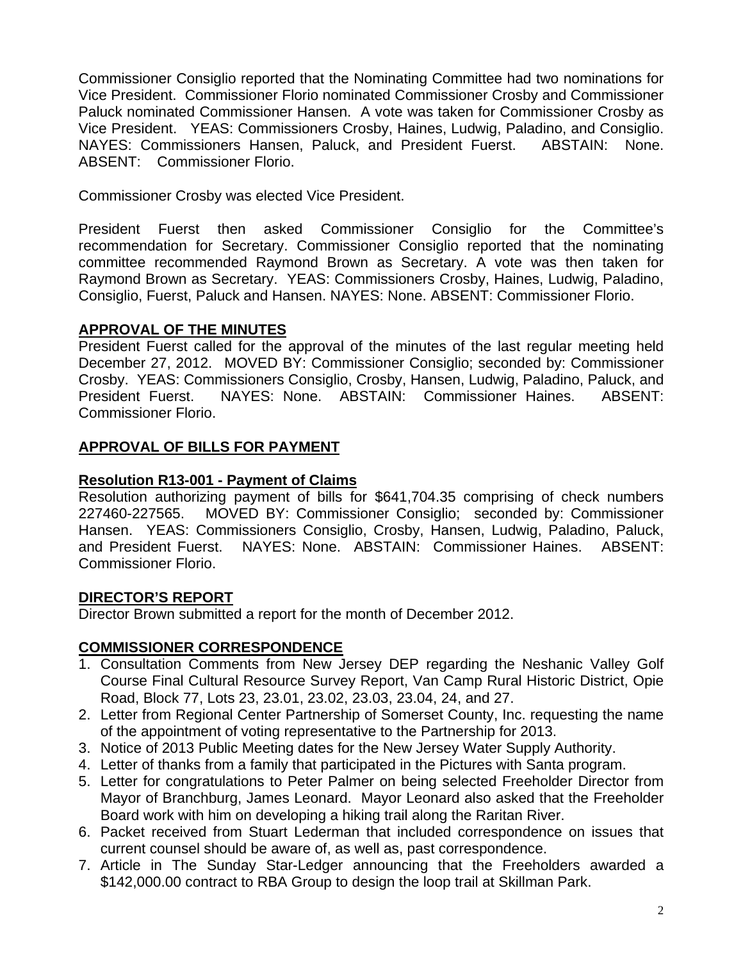Commissioner Consiglio reported that the Nominating Committee had two nominations for Vice President. Commissioner Florio nominated Commissioner Crosby and Commissioner Paluck nominated Commissioner Hansen. A vote was taken for Commissioner Crosby as Vice President. YEAS: Commissioners Crosby, Haines, Ludwig, Paladino, and Consiglio. NAYES: Commissioners Hansen, Paluck, and President Fuerst. ABSTAIN: None. ABSENT: Commissioner Florio.

Commissioner Crosby was elected Vice President.

President Fuerst then asked Commissioner Consiglio for the Committee's recommendation for Secretary. Commissioner Consiglio reported that the nominating committee recommended Raymond Brown as Secretary. A vote was then taken for Raymond Brown as Secretary. YEAS: Commissioners Crosby, Haines, Ludwig, Paladino, Consiglio, Fuerst, Paluck and Hansen. NAYES: None. ABSENT: Commissioner Florio.

# **APPROVAL OF THE MINUTES**

President Fuerst called for the approval of the minutes of the last regular meeting held December 27, 2012. MOVED BY: Commissioner Consiglio; seconded by: Commissioner Crosby. YEAS: Commissioners Consiglio, Crosby, Hansen, Ludwig, Paladino, Paluck, and President Fuerst. NAYES: None. ABSTAIN: Commissioner Haines. ABSENT: Commissioner Florio.

# **APPROVAL OF BILLS FOR PAYMENT**

# **Resolution R13-001 - Payment of Claims**

Resolution authorizing payment of bills for \$641,704.35 comprising of check numbers 227460-227565. MOVED BY: Commissioner Consiglio; seconded by: Commissioner Hansen. YEAS: Commissioners Consiglio, Crosby, Hansen, Ludwig, Paladino, Paluck, and President Fuerst. NAYES: None. ABSTAIN: Commissioner Haines. ABSENT: Commissioner Florio.

# **DIRECTOR'S REPORT**

Director Brown submitted a report for the month of December 2012.

# **COMMISSIONER CORRESPONDENCE**

- 1. Consultation Comments from New Jersey DEP regarding the Neshanic Valley Golf Course Final Cultural Resource Survey Report, Van Camp Rural Historic District, Opie Road, Block 77, Lots 23, 23.01, 23.02, 23.03, 23.04, 24, and 27.
- 2. Letter from Regional Center Partnership of Somerset County, Inc. requesting the name of the appointment of voting representative to the Partnership for 2013.
- 3. Notice of 2013 Public Meeting dates for the New Jersey Water Supply Authority.
- 4. Letter of thanks from a family that participated in the Pictures with Santa program.
- 5. Letter for congratulations to Peter Palmer on being selected Freeholder Director from Mayor of Branchburg, James Leonard. Mayor Leonard also asked that the Freeholder Board work with him on developing a hiking trail along the Raritan River.
- 6. Packet received from Stuart Lederman that included correspondence on issues that current counsel should be aware of, as well as, past correspondence.
- 7. Article in The Sunday Star-Ledger announcing that the Freeholders awarded a \$142,000.00 contract to RBA Group to design the loop trail at Skillman Park.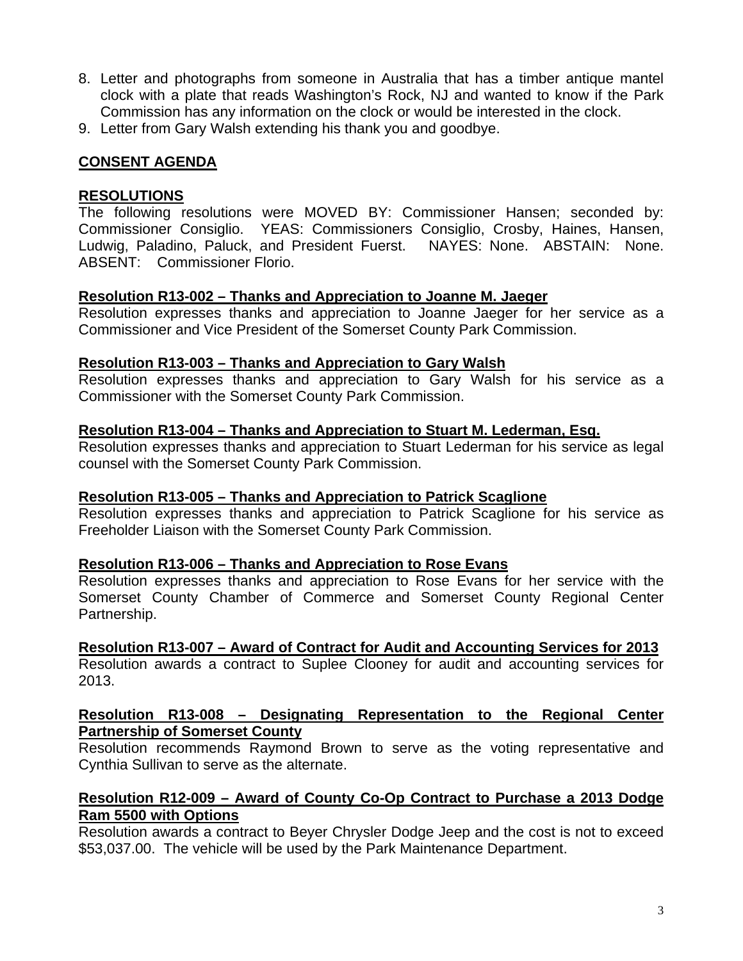- 8. Letter and photographs from someone in Australia that has a timber antique mantel clock with a plate that reads Washington's Rock, NJ and wanted to know if the Park Commission has any information on the clock or would be interested in the clock.
- 9. Letter from Gary Walsh extending his thank you and goodbye.

# **CONSENT AGENDA**

### **RESOLUTIONS**

The following resolutions were MOVED BY: Commissioner Hansen; seconded by: Commissioner Consiglio. YEAS: Commissioners Consiglio, Crosby, Haines, Hansen, Ludwig, Paladino, Paluck, and President Fuerst. NAYES: None. ABSTAIN: None. ABSENT: Commissioner Florio.

### **Resolution R13-002 – Thanks and Appreciation to Joanne M. Jaeger**

Resolution expresses thanks and appreciation to Joanne Jaeger for her service as a Commissioner and Vice President of the Somerset County Park Commission.

### **Resolution R13-003 – Thanks and Appreciation to Gary Walsh**

Resolution expresses thanks and appreciation to Gary Walsh for his service as a Commissioner with the Somerset County Park Commission.

### **Resolution R13-004 – Thanks and Appreciation to Stuart M. Lederman, Esq.**

Resolution expresses thanks and appreciation to Stuart Lederman for his service as legal counsel with the Somerset County Park Commission.

#### **Resolution R13-005 – Thanks and Appreciation to Patrick Scaglione**

Resolution expresses thanks and appreciation to Patrick Scaglione for his service as Freeholder Liaison with the Somerset County Park Commission.

## **Resolution R13-006 – Thanks and Appreciation to Rose Evans**

Resolution expresses thanks and appreciation to Rose Evans for her service with the Somerset County Chamber of Commerce and Somerset County Regional Center Partnership.

#### **Resolution R13-007 – Award of Contract for Audit and Accounting Services for 2013**

Resolution awards a contract to Suplee Clooney for audit and accounting services for 2013.

### **Resolution R13-008 – Designating Representation to the Regional Center Partnership of Somerset County**

Resolution recommends Raymond Brown to serve as the voting representative and Cynthia Sullivan to serve as the alternate.

## **Resolution R12-009 – Award of County Co-Op Contract to Purchase a 2013 Dodge Ram 5500 with Options**

Resolution awards a contract to Beyer Chrysler Dodge Jeep and the cost is not to exceed \$53,037.00. The vehicle will be used by the Park Maintenance Department.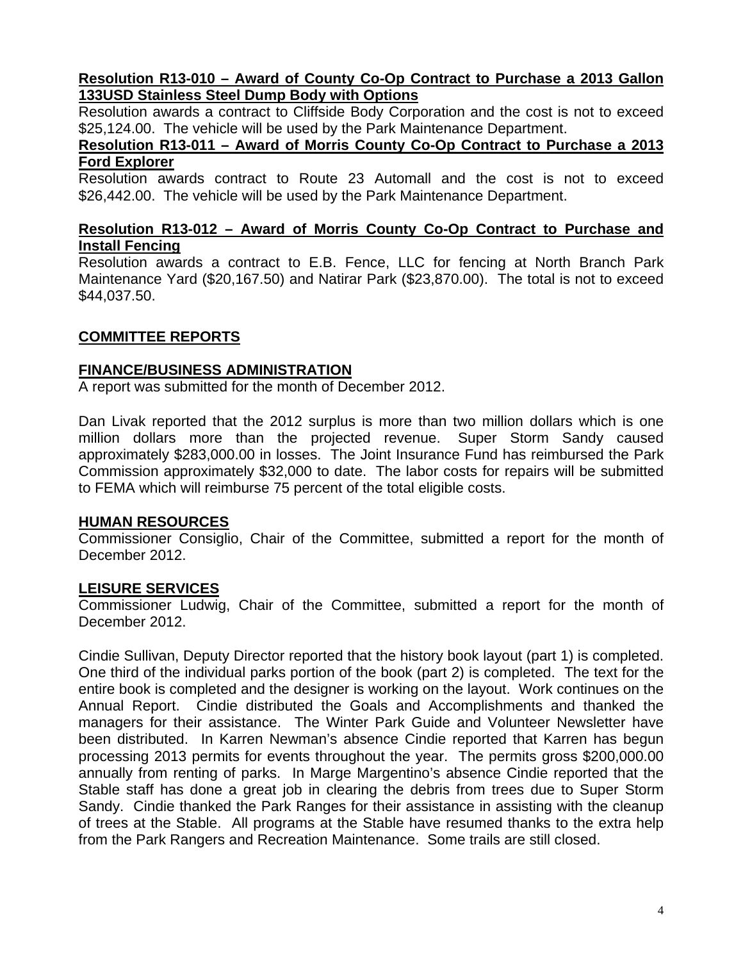### **Resolution R13-010 – Award of County Co-Op Contract to Purchase a 2013 Gallon 133USD Stainless Steel Dump Body with Options**

Resolution awards a contract to Cliffside Body Corporation and the cost is not to exceed \$25,124.00. The vehicle will be used by the Park Maintenance Department.

### **Resolution R13-011 – Award of Morris County Co-Op Contract to Purchase a 2013 Ford Explorer**

Resolution awards contract to Route 23 Automall and the cost is not to exceed \$26,442.00. The vehicle will be used by the Park Maintenance Department.

#### **Resolution R13-012 – Award of Morris County Co-Op Contract to Purchase and Install Fencing**

Resolution awards a contract to E.B. Fence, LLC for fencing at North Branch Park Maintenance Yard (\$20,167.50) and Natirar Park (\$23,870.00). The total is not to exceed \$44,037.50.

# **COMMITTEE REPORTS**

## **FINANCE/BUSINESS ADMINISTRATION**

A report was submitted for the month of December 2012.

Dan Livak reported that the 2012 surplus is more than two million dollars which is one million dollars more than the projected revenue. Super Storm Sandy caused approximately \$283,000.00 in losses. The Joint Insurance Fund has reimbursed the Park Commission approximately \$32,000 to date. The labor costs for repairs will be submitted to FEMA which will reimburse 75 percent of the total eligible costs.

## **HUMAN RESOURCES**

Commissioner Consiglio, Chair of the Committee, submitted a report for the month of December 2012.

# **LEISURE SERVICES**

Commissioner Ludwig, Chair of the Committee, submitted a report for the month of December 2012.

Cindie Sullivan, Deputy Director reported that the history book layout (part 1) is completed. One third of the individual parks portion of the book (part 2) is completed. The text for the entire book is completed and the designer is working on the layout. Work continues on the Annual Report. Cindie distributed the Goals and Accomplishments and thanked the managers for their assistance. The Winter Park Guide and Volunteer Newsletter have been distributed. In Karren Newman's absence Cindie reported that Karren has begun processing 2013 permits for events throughout the year. The permits gross \$200,000.00 annually from renting of parks. In Marge Margentino's absence Cindie reported that the Stable staff has done a great job in clearing the debris from trees due to Super Storm Sandy. Cindie thanked the Park Ranges for their assistance in assisting with the cleanup of trees at the Stable. All programs at the Stable have resumed thanks to the extra help from the Park Rangers and Recreation Maintenance. Some trails are still closed.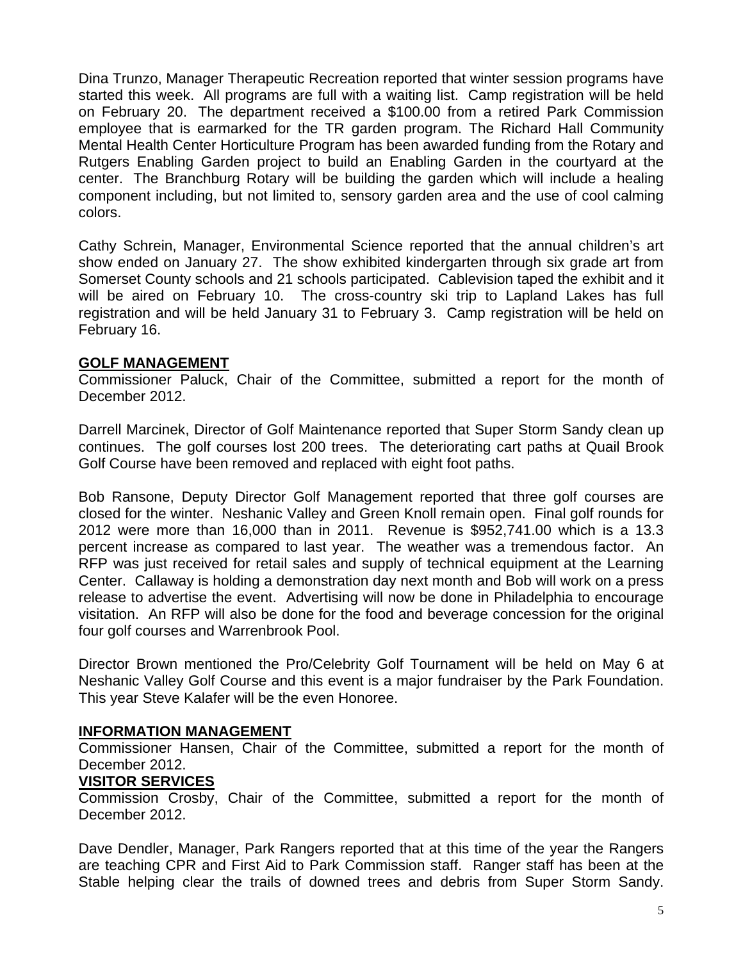Dina Trunzo, Manager Therapeutic Recreation reported that winter session programs have started this week. All programs are full with a waiting list. Camp registration will be held on February 20. The department received a \$100.00 from a retired Park Commission employee that is earmarked for the TR garden program. The Richard Hall Community Mental Health Center Horticulture Program has been awarded funding from the Rotary and Rutgers Enabling Garden project to build an Enabling Garden in the courtyard at the center. The Branchburg Rotary will be building the garden which will include a healing component including, but not limited to, sensory garden area and the use of cool calming colors.

Cathy Schrein, Manager, Environmental Science reported that the annual children's art show ended on January 27. The show exhibited kindergarten through six grade art from Somerset County schools and 21 schools participated. Cablevision taped the exhibit and it will be aired on February 10. The cross-country ski trip to Lapland Lakes has full registration and will be held January 31 to February 3. Camp registration will be held on February 16.

# **GOLF MANAGEMENT**

Commissioner Paluck, Chair of the Committee, submitted a report for the month of December 2012.

Darrell Marcinek, Director of Golf Maintenance reported that Super Storm Sandy clean up continues. The golf courses lost 200 trees. The deteriorating cart paths at Quail Brook Golf Course have been removed and replaced with eight foot paths.

Bob Ransone, Deputy Director Golf Management reported that three golf courses are closed for the winter. Neshanic Valley and Green Knoll remain open. Final golf rounds for 2012 were more than 16,000 than in 2011. Revenue is \$952,741.00 which is a 13.3 percent increase as compared to last year. The weather was a tremendous factor. An RFP was just received for retail sales and supply of technical equipment at the Learning Center. Callaway is holding a demonstration day next month and Bob will work on a press release to advertise the event. Advertising will now be done in Philadelphia to encourage visitation. An RFP will also be done for the food and beverage concession for the original four golf courses and Warrenbrook Pool.

Director Brown mentioned the Pro/Celebrity Golf Tournament will be held on May 6 at Neshanic Valley Golf Course and this event is a major fundraiser by the Park Foundation. This year Steve Kalafer will be the even Honoree.

## **INFORMATION MANAGEMENT**

Commissioner Hansen, Chair of the Committee, submitted a report for the month of December 2012.

## **VISITOR SERVICES**

Commission Crosby, Chair of the Committee, submitted a report for the month of December 2012.

Dave Dendler, Manager, Park Rangers reported that at this time of the year the Rangers are teaching CPR and First Aid to Park Commission staff. Ranger staff has been at the Stable helping clear the trails of downed trees and debris from Super Storm Sandy.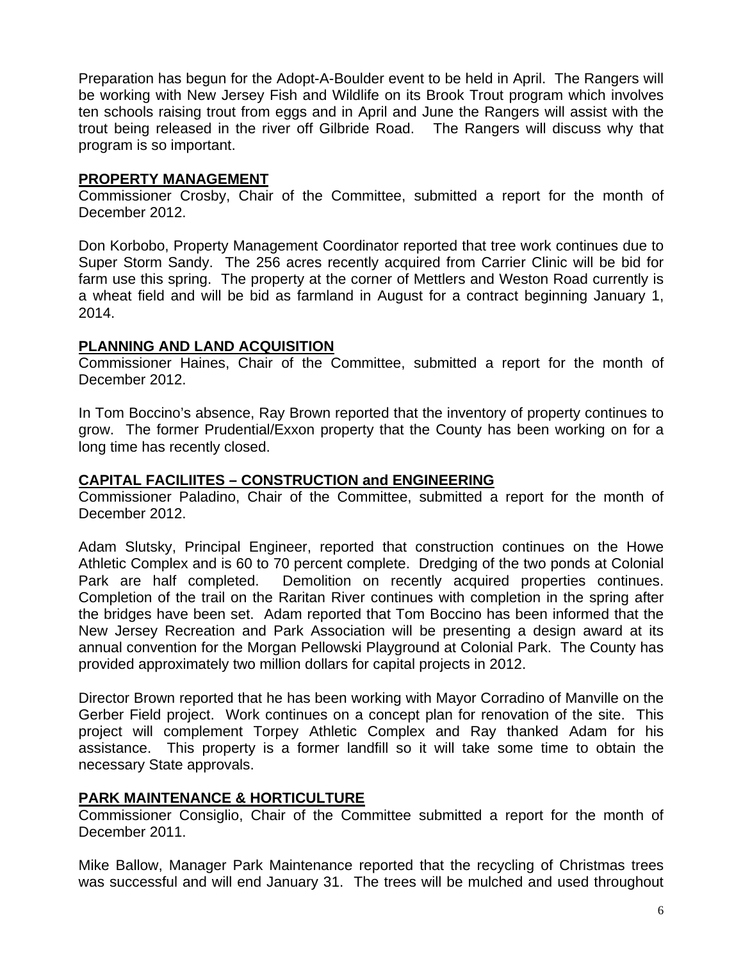Preparation has begun for the Adopt-A-Boulder event to be held in April. The Rangers will be working with New Jersey Fish and Wildlife on its Brook Trout program which involves ten schools raising trout from eggs and in April and June the Rangers will assist with the trout being released in the river off Gilbride Road. The Rangers will discuss why that program is so important.

## **PROPERTY MANAGEMENT**

Commissioner Crosby, Chair of the Committee, submitted a report for the month of December 2012.

Don Korbobo, Property Management Coordinator reported that tree work continues due to Super Storm Sandy. The 256 acres recently acquired from Carrier Clinic will be bid for farm use this spring. The property at the corner of Mettlers and Weston Road currently is a wheat field and will be bid as farmland in August for a contract beginning January 1, 2014.

# **PLANNING AND LAND ACQUISITION**

Commissioner Haines, Chair of the Committee, submitted a report for the month of December 2012.

In Tom Boccino's absence, Ray Brown reported that the inventory of property continues to grow. The former Prudential/Exxon property that the County has been working on for a long time has recently closed.

# **CAPITAL FACILIITES – CONSTRUCTION and ENGINEERING**

Commissioner Paladino, Chair of the Committee, submitted a report for the month of December 2012.

Adam Slutsky, Principal Engineer, reported that construction continues on the Howe Athletic Complex and is 60 to 70 percent complete. Dredging of the two ponds at Colonial Park are half completed. Demolition on recently acquired properties continues. Completion of the trail on the Raritan River continues with completion in the spring after the bridges have been set. Adam reported that Tom Boccino has been informed that the New Jersey Recreation and Park Association will be presenting a design award at its annual convention for the Morgan Pellowski Playground at Colonial Park. The County has provided approximately two million dollars for capital projects in 2012.

Director Brown reported that he has been working with Mayor Corradino of Manville on the Gerber Field project. Work continues on a concept plan for renovation of the site. This project will complement Torpey Athletic Complex and Ray thanked Adam for his assistance. This property is a former landfill so it will take some time to obtain the necessary State approvals.

## **PARK MAINTENANCE & HORTICULTURE**

Commissioner Consiglio, Chair of the Committee submitted a report for the month of December 2011.

Mike Ballow, Manager Park Maintenance reported that the recycling of Christmas trees was successful and will end January 31. The trees will be mulched and used throughout